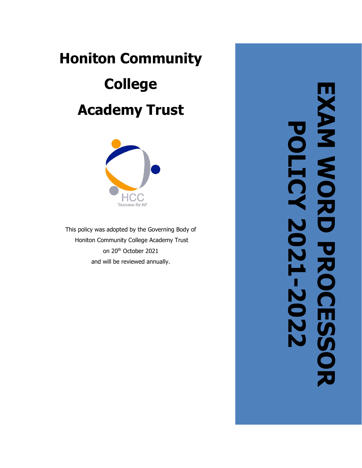# **Honiton Community College Academy Trust**



This policy was adopted by the Governing Body of Honiton Community College Academy Trust on 20th October 2021 and will be reviewed annually .

**EXAM WORD PROCESSOR AAM WORD PROCESSOR**<br>POLICY 2021-2022 **POLICY 2021-2022**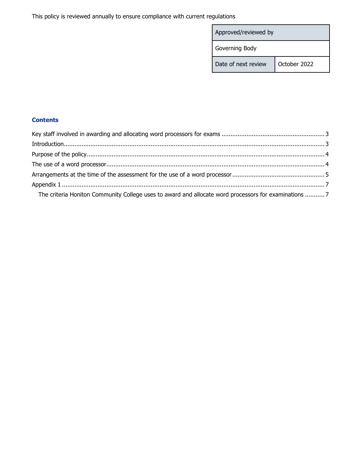This policy is reviewed annually to ensure compliance with current regulations

| Approved/reviewed by |              |
|----------------------|--------------|
| Governing Body       |              |
| Date of next review  | October 2022 |

# **Contents**

| $\label{prop:1} \mbox{Introduction}\\$                                                               |  |
|------------------------------------------------------------------------------------------------------|--|
|                                                                                                      |  |
|                                                                                                      |  |
|                                                                                                      |  |
|                                                                                                      |  |
| The criteria Honiton Community College uses to award and allocate word processors for examinations 7 |  |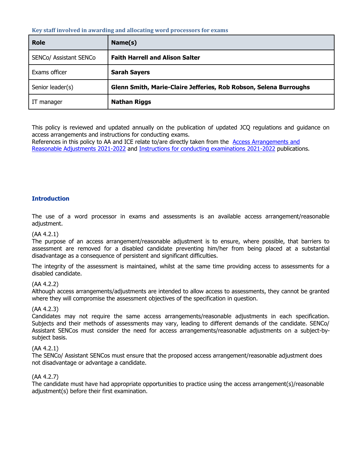#### <span id="page-2-0"></span>**Key staff involved in awarding and allocating word processors for exams**

| <b>Role</b>            | Name(s)                                                           |
|------------------------|-------------------------------------------------------------------|
| SENCo/ Assistant SENCo | <b>Faith Harrell and Alison Salter</b>                            |
| Exams officer          | <b>Sarah Sayers</b>                                               |
| Senior leader(s)       | Glenn Smith, Marie-Claire Jefferies, Rob Robson, Selena Burroughs |
| IT manager             | <b>Nathan Riggs</b>                                               |

This policy is reviewed and updated annually on the publication of updated JCQ regulations and guidance on access arrangements and instructions for conducting exams.

<span id="page-2-1"></span>References in this policy to AA and ICE relate to/are directly taken from the [Access Arrangements and](http://www.jcq.org.uk/exams-office/access-arrangements-and-special-consideration/regulations-and-guidance)  [Reasonable Adjustments 2021-2022](http://www.jcq.org.uk/exams-office/access-arrangements-and-special-consideration/regulations-and-guidance) and [Instructions for conducting examinations 2021-2022](http://www.jcq.org.uk/exams-office/ice---instructions-for-conducting-examinations) publications.

## **Introduction**

The use of a word processor in exams and assessments is an available access arrangement/reasonable adjustment.

## (AA 4.2.1)

The purpose of an access arrangement/reasonable adjustment is to ensure, where possible, that barriers to assessment are removed for a disabled candidate preventing him/her from being placed at a substantial disadvantage as a consequence of persistent and significant difficulties.

The integrity of the assessment is maintained, whilst at the same time providing access to assessments for a disabled candidate.

## (AA 4.2.2)

Although access arrangements/adjustments are intended to allow access to assessments, they cannot be granted where they will compromise the assessment objectives of the specification in question.

## (AA 4.2.3)

Candidates may not require the same access arrangements/reasonable adjustments in each specification. Subjects and their methods of assessments may vary, leading to different demands of the candidate. SENCo/ Assistant SENCos must consider the need for access arrangements/reasonable adjustments on a subject-bysubject basis.

#### (AA 4.2.1)

The SENCo/ Assistant SENCos must ensure that the proposed access arrangement/reasonable adjustment does not disadvantage or advantage a candidate.

#### (AA 4.2.7)

<span id="page-2-2"></span>The candidate must have had appropriate opportunities to practice using the access arrangement(s)/reasonable adjustment(s) before their first examination.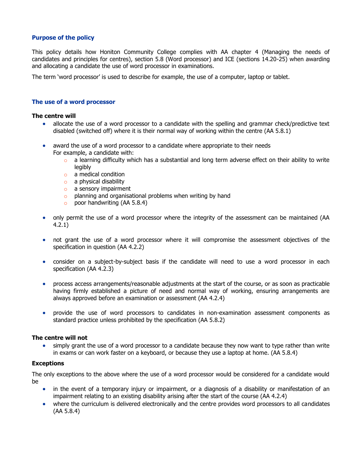#### **Purpose of the policy**

This policy details how Honiton Community College complies with AA chapter 4 (Managing the needs of candidates and principles for centres), section 5.8 (Word processor) and ICE (sections 14.20-25) when awarding and allocating a candidate the use of word processor in examinations.

The term 'word processor' is used to describe for example, the use of a computer, laptop or tablet.

#### <span id="page-3-0"></span>**The use of a word processor**

#### **The centre will**

- allocate the use of a word processor to a candidate with the spelling and grammar check/predictive text disabled (switched off) where it is their normal way of working within the centre (AA 5.8.1)
- award the use of a word processor to a candidate where appropriate to their needs For example, a candidate with:
	- $\circ$  a learning difficulty which has a substantial and long term adverse effect on their ability to write legibly
	- o a medical condition
	- o a physical disability
	- o a sensory impairment
	- o planning and organisational problems when writing by hand
	- $\circ$  poor handwriting (AA 5.8.4)
- only permit the use of a word processor where the integrity of the assessment can be maintained (AA 4.2.1)
- not grant the use of a word processor where it will compromise the assessment objectives of the specification in question (AA 4.2.2)
- consider on a subject-by-subject basis if the candidate will need to use a word processor in each specification (AA 4.2.3)
- process access arrangements/reasonable adjustments at the start of the course, or as soon as practicable having firmly established a picture of need and normal way of working, ensuring arrangements are always approved before an examination or assessment (AA 4.2.4)
- provide the use of word processors to candidates in non-examination assessment components as standard practice unless prohibited by the specification (AA 5.8.2)

#### **The centre will not**

• simply grant the use of a word processor to a candidate because they now want to type rather than write in exams or can work faster on a keyboard, or because they use a laptop at home. (AA 5.8.4)

#### **Exceptions**

The only exceptions to the above where the use of a word processor would be considered for a candidate would be

- in the event of a temporary injury or impairment, or a diagnosis of a disability or manifestation of an impairment relating to an existing disability arising after the start of the course (AA 4.2.4)
- <span id="page-3-1"></span>• where the curriculum is delivered electronically and the centre provides word processors to all candidates (AA 5.8.4)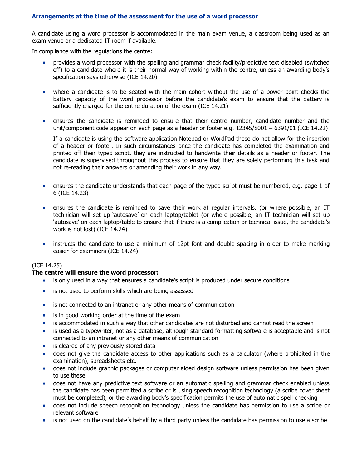## **Arrangements at the time of the assessment for the use of a word processor**

A candidate using a word processor is accommodated in the main exam venue, a classroom being used as an exam venue or a dedicated IT room if available.

In compliance with the regulations the centre:

- provides a word processor with the spelling and grammar check facility/predictive text disabled (switched off) to a candidate where it is their normal way of working within the centre, unless an awarding body's specification says otherwise (ICE 14.20)
- where a candidate is to be seated with the main cohort without the use of a power point checks the battery capacity of the word processor before the candidate's exam to ensure that the battery is sufficiently charged for the entire duration of the exam (ICE 14.21)
- ensures the candidate is reminded to ensure that their centre number, candidate number and the unit/component code appear on each page as a header or footer e.g. 12345/8001 – 6391/01 (ICE 14.22)

If a candidate is using the software application Notepad or WordPad these do not allow for the insertion of a header or footer. In such circumstances once the candidate has completed the examination and printed off their typed script, they are instructed to handwrite their details as a header or footer. The candidate is supervised throughout this process to ensure that they are solely performing this task and not re-reading their answers or amending their work in any way.

- ensures the candidate understands that each page of the typed script must be numbered, e.g. page 1 of 6 (ICE 14.23)
- ensures the candidate is reminded to save their work at regular intervals. (or where possible, an IT technician will set up 'autosave' on each laptop/tablet (or where possible, an IT technician will set up 'autosave' on each laptop/table to ensure that if there is a complication or technical issue, the candidate's work is not lost) (ICE 14.24)
- instructs the candidate to use a minimum of 12pt font and double spacing in order to make marking easier for examiners (ICE 14.24)

#### (ICE 14.25)

#### **The centre will ensure the word processor:**

- is only used in a way that ensures a candidate's script is produced under secure conditions
- is not used to perform skills which are being assessed
- is not connected to an intranet or any other means of communication
- is in good working order at the time of the exam
- is accommodated in such a way that other candidates are not disturbed and cannot read the screen
- is used as a typewriter, not as a database, although standard formatting software is acceptable and is not connected to an intranet or any other means of communication
- is cleared of any previously stored data
- does not give the candidate access to other applications such as a calculator (where prohibited in the examination), spreadsheets etc.
- does not include graphic packages or computer aided design software unless permission has been given to use these
- does not have any predictive text software or an automatic spelling and grammar check enabled unless the candidate has been permitted a scribe or is using speech recognition technology (a scribe cover sheet must be completed), or the awarding body's specification permits the use of automatic spell checking
- does not include speech recognition technology unless the candidate has permission to use a scribe or relevant software
- is not used on the candidate's behalf by a third party unless the candidate has permission to use a scribe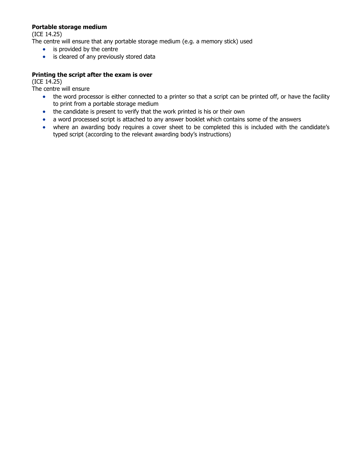## **Portable storage medium**

(ICE 14.25)

The centre will ensure that any portable storage medium (e.g. a memory stick) used

- is provided by the centre
- is cleared of any previously stored data

## **Printing the script after the exam is over**

(ICE 14.25)

The centre will ensure

- the word processor is either connected to a printer so that a script can be printed off, or have the facility to print from a portable storage medium
- the candidate is present to verify that the work printed is his or their own
- a word processed script is attached to any answer booklet which contains some of the answers
- where an awarding body requires a cover sheet to be completed this is included with the candidate's typed script (according to the relevant awarding body's instructions)